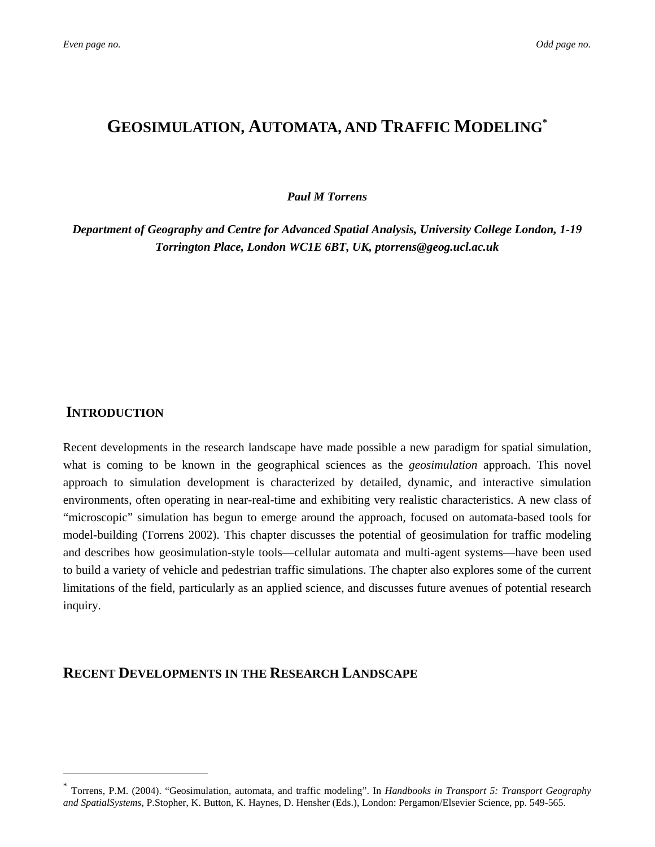# **GEOSIMULATION, AUTOMATA, AND TRAFFIC MODELING\***

### *Paul M Torrens*

*Department of Geography and Centre for Advanced Spatial Analysis, University College London, 1-19 Torrington Place, London WC1E 6BT, UK, ptorrens@geog.ucl.ac.uk* 

### **INTRODUCTION**

Recent developments in the research landscape have made possible a new paradigm for spatial simulation, what is coming to be known in the geographical sciences as the *geosimulation* approach. This novel approach to simulation development is characterized by detailed, dynamic, and interactive simulation environments, often operating in near-real-time and exhibiting very realistic characteristics. A new class of "microscopic" simulation has begun to emerge around the approach, focused on automata-based tools for model-building (Torrens 2002). This chapter discusses the potential of geosimulation for traffic modeling and describes how geosimulation-style tools—cellular automata and multi-agent systems—have been used to build a variety of vehicle and pedestrian traffic simulations. The chapter also explores some of the current limitations of the field, particularly as an applied science, and discusses future avenues of potential research inquiry.

## **RECENT DEVELOPMENTS IN THE RESEARCH LANDSCAPE**

<sup>\*</sup> Torrens, P.M. (2004). "Geosimulation, automata, and traffic modeling". In *Handbooks in Transport 5: Transport Geography and SpatialSystems*, P.Stopher, K. Button, K. Haynes, D. Hensher (Eds.), London: Pergamon/Elsevier Science, pp. 549-565.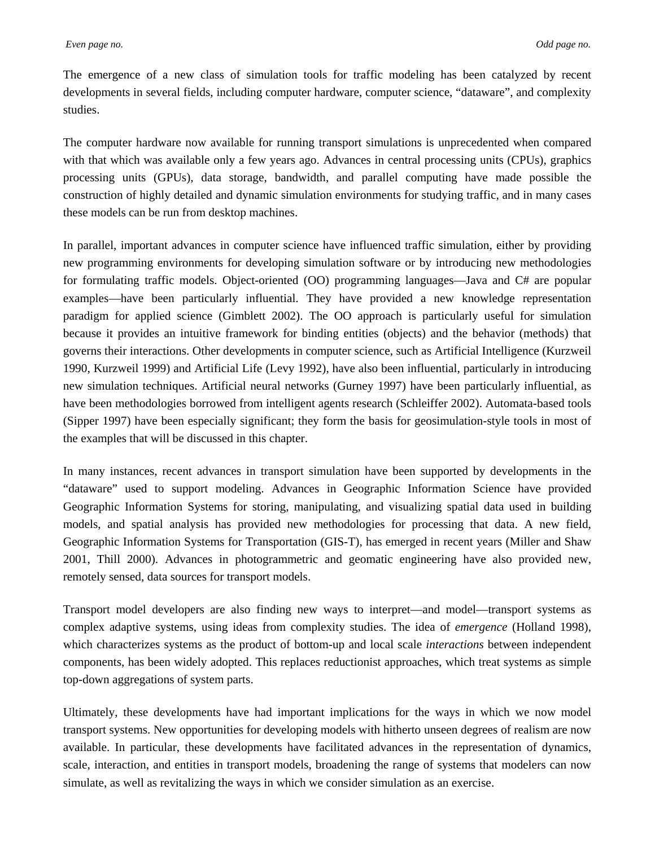The emergence of a new class of simulation tools for traffic modeling has been catalyzed by recent developments in several fields, including computer hardware, computer science, "dataware", and complexity studies.

The computer hardware now available for running transport simulations is unprecedented when compared with that which was available only a few years ago. Advances in central processing units (CPUs), graphics processing units (GPUs), data storage, bandwidth, and parallel computing have made possible the construction of highly detailed and dynamic simulation environments for studying traffic, and in many cases these models can be run from desktop machines.

In parallel, important advances in computer science have influenced traffic simulation, either by providing new programming environments for developing simulation software or by introducing new methodologies for formulating traffic models. Object-oriented (OO) programming languages—Java and C# are popular examples—have been particularly influential. They have provided a new knowledge representation paradigm for applied science (Gimblett 2002). The OO approach is particularly useful for simulation because it provides an intuitive framework for binding entities (objects) and the behavior (methods) that governs their interactions. Other developments in computer science, such as Artificial Intelligence (Kurzweil 1990, Kurzweil 1999) and Artificial Life (Levy 1992), have also been influential, particularly in introducing new simulation techniques. Artificial neural networks (Gurney 1997) have been particularly influential, as have been methodologies borrowed from intelligent agents research (Schleiffer 2002). Automata-based tools (Sipper 1997) have been especially significant; they form the basis for geosimulation-style tools in most of the examples that will be discussed in this chapter.

In many instances, recent advances in transport simulation have been supported by developments in the "dataware" used to support modeling. Advances in Geographic Information Science have provided Geographic Information Systems for storing, manipulating, and visualizing spatial data used in building models, and spatial analysis has provided new methodologies for processing that data. A new field, Geographic Information Systems for Transportation (GIS-T), has emerged in recent years (Miller and Shaw 2001, Thill 2000). Advances in photogrammetric and geomatic engineering have also provided new, remotely sensed, data sources for transport models.

Transport model developers are also finding new ways to interpret—and model—transport systems as complex adaptive systems, using ideas from complexity studies. The idea of *emergence* (Holland 1998), which characterizes systems as the product of bottom-up and local scale *interactions* between independent components, has been widely adopted. This replaces reductionist approaches, which treat systems as simple top-down aggregations of system parts.

Ultimately, these developments have had important implications for the ways in which we now model transport systems. New opportunities for developing models with hitherto unseen degrees of realism are now available. In particular, these developments have facilitated advances in the representation of dynamics, scale, interaction, and entities in transport models, broadening the range of systems that modelers can now simulate, as well as revitalizing the ways in which we consider simulation as an exercise.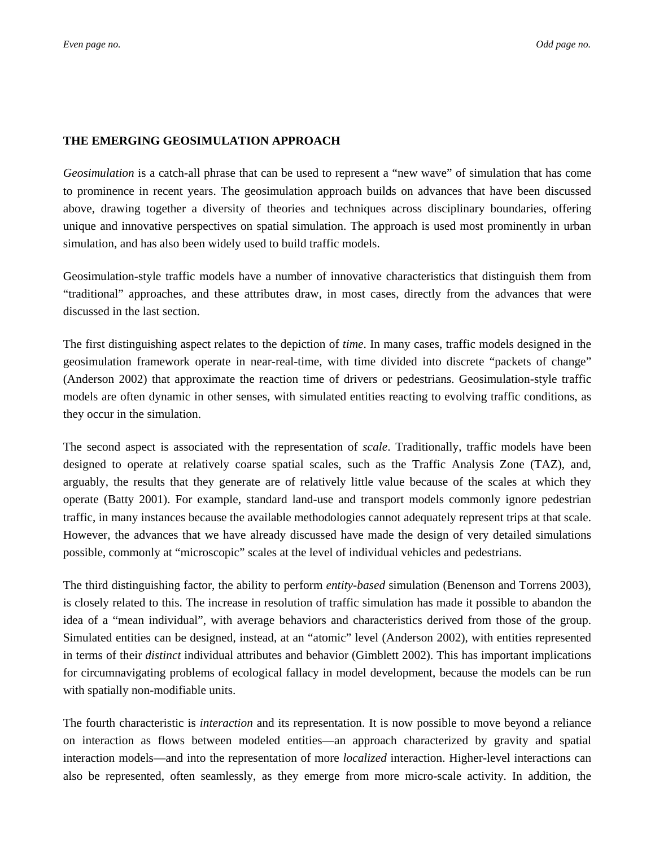### **THE EMERGING GEOSIMULATION APPROACH**

*Geosimulation* is a catch-all phrase that can be used to represent a "new wave" of simulation that has come to prominence in recent years. The geosimulation approach builds on advances that have been discussed above, drawing together a diversity of theories and techniques across disciplinary boundaries, offering unique and innovative perspectives on spatial simulation. The approach is used most prominently in urban simulation, and has also been widely used to build traffic models.

Geosimulation-style traffic models have a number of innovative characteristics that distinguish them from "traditional" approaches, and these attributes draw, in most cases, directly from the advances that were discussed in the last section.

The first distinguishing aspect relates to the depiction of *time*. In many cases, traffic models designed in the geosimulation framework operate in near-real-time, with time divided into discrete "packets of change" (Anderson 2002) that approximate the reaction time of drivers or pedestrians. Geosimulation-style traffic models are often dynamic in other senses, with simulated entities reacting to evolving traffic conditions, as they occur in the simulation.

The second aspect is associated with the representation of *scale*. Traditionally, traffic models have been designed to operate at relatively coarse spatial scales, such as the Traffic Analysis Zone (TAZ), and, arguably, the results that they generate are of relatively little value because of the scales at which they operate (Batty 2001). For example, standard land-use and transport models commonly ignore pedestrian traffic, in many instances because the available methodologies cannot adequately represent trips at that scale. However, the advances that we have already discussed have made the design of very detailed simulations possible, commonly at "microscopic" scales at the level of individual vehicles and pedestrians.

The third distinguishing factor, the ability to perform *entity-based* simulation (Benenson and Torrens 2003), is closely related to this. The increase in resolution of traffic simulation has made it possible to abandon the idea of a "mean individual", with average behaviors and characteristics derived from those of the group. Simulated entities can be designed, instead, at an "atomic" level (Anderson 2002), with entities represented in terms of their *distinct* individual attributes and behavior (Gimblett 2002). This has important implications for circumnavigating problems of ecological fallacy in model development, because the models can be run with spatially non-modifiable units.

The fourth characteristic is *interaction* and its representation. It is now possible to move beyond a reliance on interaction as flows between modeled entities—an approach characterized by gravity and spatial interaction models—and into the representation of more *localized* interaction. Higher-level interactions can also be represented, often seamlessly, as they emerge from more micro-scale activity. In addition, the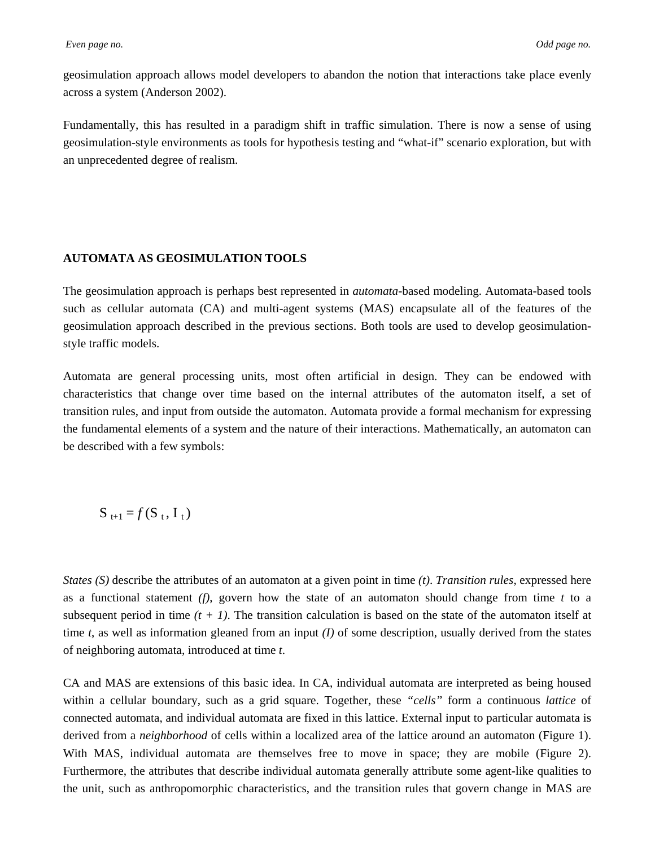geosimulation approach allows model developers to abandon the notion that interactions take place evenly across a system (Anderson 2002).

Fundamentally, this has resulted in a paradigm shift in traffic simulation. There is now a sense of using geosimulation-style environments as tools for hypothesis testing and "what-if" scenario exploration, but with an unprecedented degree of realism.

### **AUTOMATA AS GEOSIMULATION TOOLS**

The geosimulation approach is perhaps best represented in *automata*-based modeling. Automata-based tools such as cellular automata (CA) and multi-agent systems (MAS) encapsulate all of the features of the geosimulation approach described in the previous sections. Both tools are used to develop geosimulationstyle traffic models.

Automata are general processing units, most often artificial in design. They can be endowed with characteristics that change over time based on the internal attributes of the automaton itself, a set of transition rules, and input from outside the automaton. Automata provide a formal mechanism for expressing the fundamental elements of a system and the nature of their interactions. Mathematically, an automaton can be described with a few symbols:

$$
S_{t+1} = f(S_t, I_t)
$$

*States (S)* describe the attributes of an automaton at a given point in time *(t)*. *Transition rules*, expressed here as a functional statement  $(f)$ , govern how the state of an automaton should change from time  $t$  to a subsequent period in time  $(t + 1)$ . The transition calculation is based on the state of the automaton itself at time *t*, as well as information gleaned from an input *(I)* of some description, usually derived from the states of neighboring automata, introduced at time *t*.

CA and MAS are extensions of this basic idea. In CA, individual automata are interpreted as being housed within a cellular boundary, such as a grid square. Together, these *"cells"* form a continuous *lattice* of connected automata, and individual automata are fixed in this lattice. External input to particular automata is derived from a *neighborhood* of cells within a localized area of the lattice around an automaton (Figure 1). With MAS, individual automata are themselves free to move in space; they are mobile (Figure 2). Furthermore, the attributes that describe individual automata generally attribute some agent-like qualities to the unit, such as anthropomorphic characteristics, and the transition rules that govern change in MAS are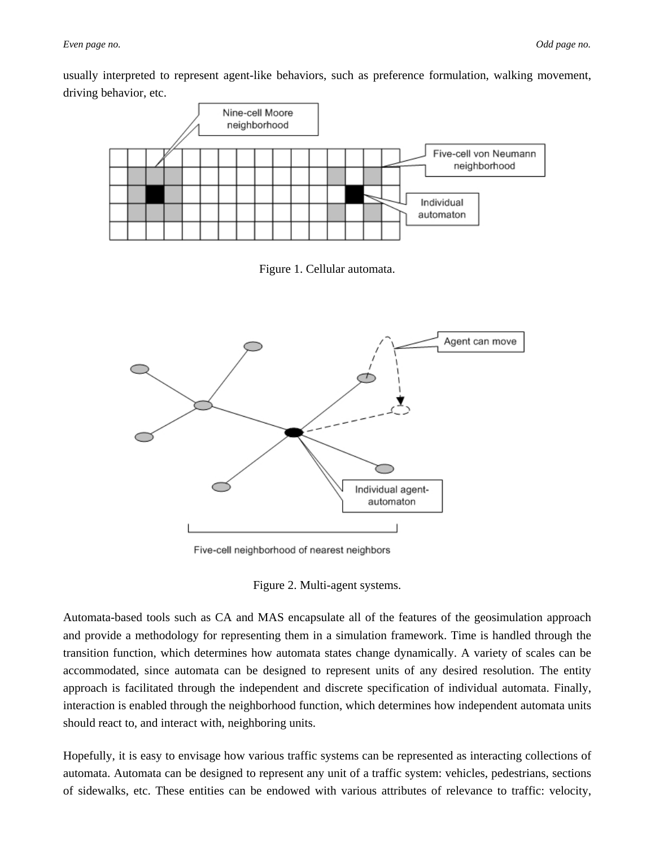usually interpreted to represent agent-like behaviors, such as preference formulation, walking movement, driving behavior, etc.



Figure 1. Cellular automata.



Five-cell neighborhood of nearest neighbors

Figure 2. Multi-agent systems.

Automata-based tools such as CA and MAS encapsulate all of the features of the geosimulation approach and provide a methodology for representing them in a simulation framework. Time is handled through the transition function, which determines how automata states change dynamically. A variety of scales can be accommodated, since automata can be designed to represent units of any desired resolution. The entity approach is facilitated through the independent and discrete specification of individual automata. Finally, interaction is enabled through the neighborhood function, which determines how independent automata units should react to, and interact with, neighboring units.

Hopefully, it is easy to envisage how various traffic systems can be represented as interacting collections of automata. Automata can be designed to represent any unit of a traffic system: vehicles, pedestrians, sections of sidewalks, etc. These entities can be endowed with various attributes of relevance to traffic: velocity,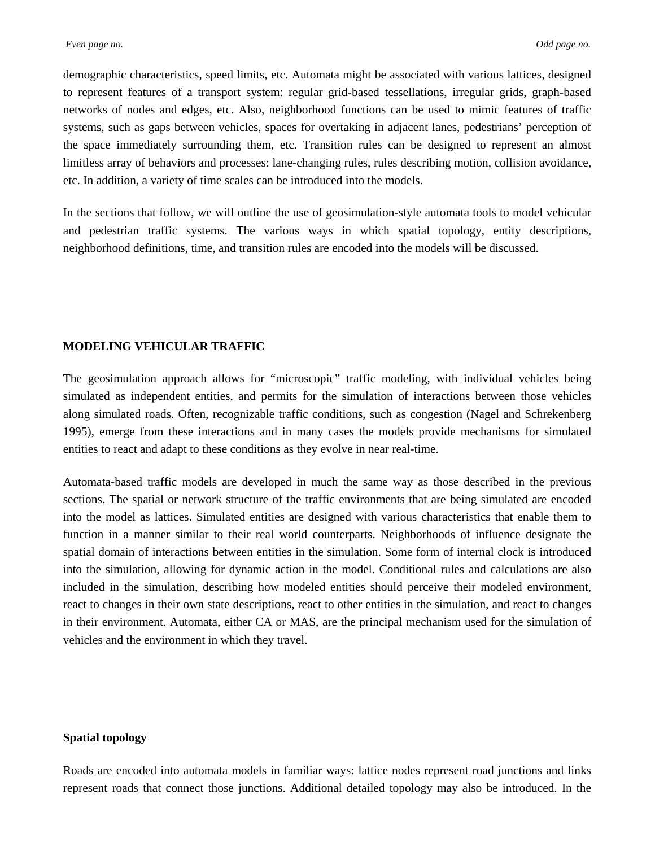demographic characteristics, speed limits, etc. Automata might be associated with various lattices, designed to represent features of a transport system: regular grid-based tessellations, irregular grids, graph-based networks of nodes and edges, etc. Also, neighborhood functions can be used to mimic features of traffic systems, such as gaps between vehicles, spaces for overtaking in adjacent lanes, pedestrians' perception of the space immediately surrounding them, etc. Transition rules can be designed to represent an almost limitless array of behaviors and processes: lane-changing rules, rules describing motion, collision avoidance, etc. In addition, a variety of time scales can be introduced into the models.

In the sections that follow, we will outline the use of geosimulation-style automata tools to model vehicular and pedestrian traffic systems. The various ways in which spatial topology, entity descriptions, neighborhood definitions, time, and transition rules are encoded into the models will be discussed.

#### **MODELING VEHICULAR TRAFFIC**

The geosimulation approach allows for "microscopic" traffic modeling, with individual vehicles being simulated as independent entities, and permits for the simulation of interactions between those vehicles along simulated roads. Often, recognizable traffic conditions, such as congestion (Nagel and Schrekenberg 1995), emerge from these interactions and in many cases the models provide mechanisms for simulated entities to react and adapt to these conditions as they evolve in near real-time.

Automata-based traffic models are developed in much the same way as those described in the previous sections. The spatial or network structure of the traffic environments that are being simulated are encoded into the model as lattices. Simulated entities are designed with various characteristics that enable them to function in a manner similar to their real world counterparts. Neighborhoods of influence designate the spatial domain of interactions between entities in the simulation. Some form of internal clock is introduced into the simulation, allowing for dynamic action in the model. Conditional rules and calculations are also included in the simulation, describing how modeled entities should perceive their modeled environment, react to changes in their own state descriptions, react to other entities in the simulation, and react to changes in their environment. Automata, either CA or MAS, are the principal mechanism used for the simulation of vehicles and the environment in which they travel.

### **Spatial topology**

Roads are encoded into automata models in familiar ways: lattice nodes represent road junctions and links represent roads that connect those junctions. Additional detailed topology may also be introduced. In the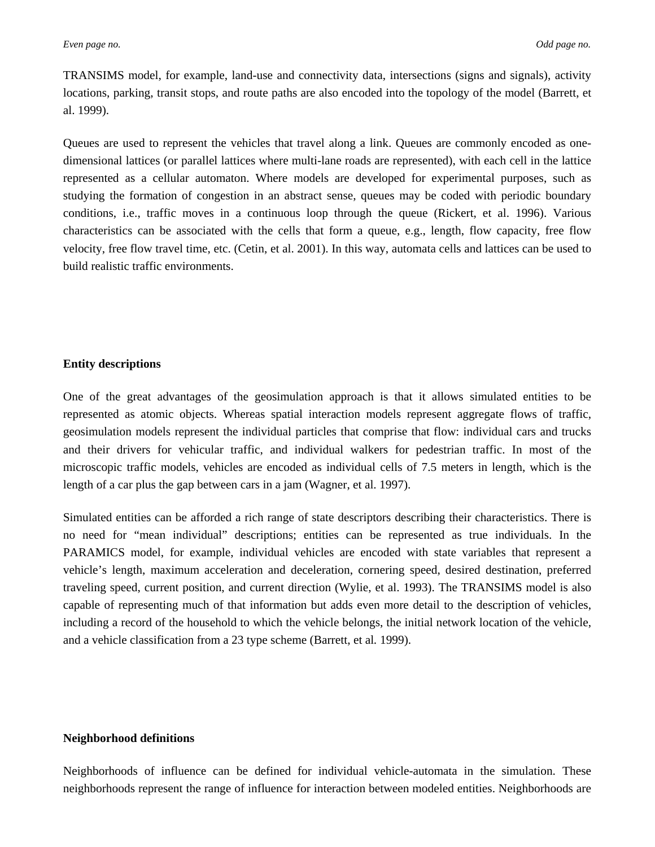TRANSIMS model, for example, land-use and connectivity data, intersections (signs and signals), activity locations, parking, transit stops, and route paths are also encoded into the topology of the model (Barrett, et al. 1999).

Queues are used to represent the vehicles that travel along a link. Queues are commonly encoded as onedimensional lattices (or parallel lattices where multi-lane roads are represented), with each cell in the lattice represented as a cellular automaton. Where models are developed for experimental purposes, such as studying the formation of congestion in an abstract sense, queues may be coded with periodic boundary conditions, i.e., traffic moves in a continuous loop through the queue (Rickert, et al. 1996). Various characteristics can be associated with the cells that form a queue, e.g., length, flow capacity, free flow velocity, free flow travel time, etc. (Cetin, et al. 2001). In this way, automata cells and lattices can be used to build realistic traffic environments.

#### **Entity descriptions**

One of the great advantages of the geosimulation approach is that it allows simulated entities to be represented as atomic objects. Whereas spatial interaction models represent aggregate flows of traffic, geosimulation models represent the individual particles that comprise that flow: individual cars and trucks and their drivers for vehicular traffic, and individual walkers for pedestrian traffic. In most of the microscopic traffic models, vehicles are encoded as individual cells of 7.5 meters in length, which is the length of a car plus the gap between cars in a jam (Wagner, et al. 1997).

Simulated entities can be afforded a rich range of state descriptors describing their characteristics. There is no need for "mean individual" descriptions; entities can be represented as true individuals. In the PARAMICS model, for example, individual vehicles are encoded with state variables that represent a vehicle's length, maximum acceleration and deceleration, cornering speed, desired destination, preferred traveling speed, current position, and current direction (Wylie, et al. 1993). The TRANSIMS model is also capable of representing much of that information but adds even more detail to the description of vehicles, including a record of the household to which the vehicle belongs, the initial network location of the vehicle, and a vehicle classification from a 23 type scheme (Barrett, et al*.* 1999).

### **Neighborhood definitions**

Neighborhoods of influence can be defined for individual vehicle-automata in the simulation. These neighborhoods represent the range of influence for interaction between modeled entities. Neighborhoods are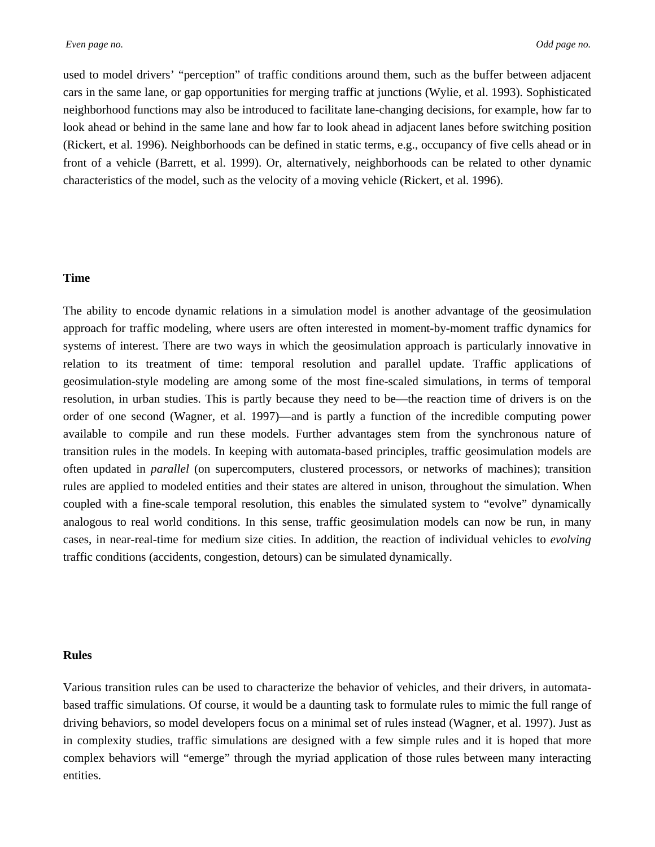#### *Even page no. Odd page no.*

used to model drivers' "perception" of traffic conditions around them, such as the buffer between adjacent cars in the same lane, or gap opportunities for merging traffic at junctions (Wylie, et al. 1993). Sophisticated neighborhood functions may also be introduced to facilitate lane-changing decisions, for example, how far to look ahead or behind in the same lane and how far to look ahead in adjacent lanes before switching position (Rickert, et al. 1996). Neighborhoods can be defined in static terms, e.g., occupancy of five cells ahead or in front of a vehicle (Barrett, et al. 1999). Or, alternatively, neighborhoods can be related to other dynamic characteristics of the model, such as the velocity of a moving vehicle (Rickert, et al. 1996).

### **Time**

The ability to encode dynamic relations in a simulation model is another advantage of the geosimulation approach for traffic modeling, where users are often interested in moment-by-moment traffic dynamics for systems of interest. There are two ways in which the geosimulation approach is particularly innovative in relation to its treatment of time: temporal resolution and parallel update. Traffic applications of geosimulation-style modeling are among some of the most fine-scaled simulations, in terms of temporal resolution, in urban studies. This is partly because they need to be—the reaction time of drivers is on the order of one second (Wagner, et al. 1997)—and is partly a function of the incredible computing power available to compile and run these models. Further advantages stem from the synchronous nature of transition rules in the models. In keeping with automata-based principles, traffic geosimulation models are often updated in *parallel* (on supercomputers, clustered processors, or networks of machines); transition rules are applied to modeled entities and their states are altered in unison, throughout the simulation. When coupled with a fine-scale temporal resolution, this enables the simulated system to "evolve" dynamically analogous to real world conditions. In this sense, traffic geosimulation models can now be run, in many cases, in near-real-time for medium size cities. In addition, the reaction of individual vehicles to *evolving* traffic conditions (accidents, congestion, detours) can be simulated dynamically.

#### **Rules**

Various transition rules can be used to characterize the behavior of vehicles, and their drivers, in automatabased traffic simulations. Of course, it would be a daunting task to formulate rules to mimic the full range of driving behaviors, so model developers focus on a minimal set of rules instead (Wagner, et al. 1997). Just as in complexity studies, traffic simulations are designed with a few simple rules and it is hoped that more complex behaviors will "emerge" through the myriad application of those rules between many interacting entities.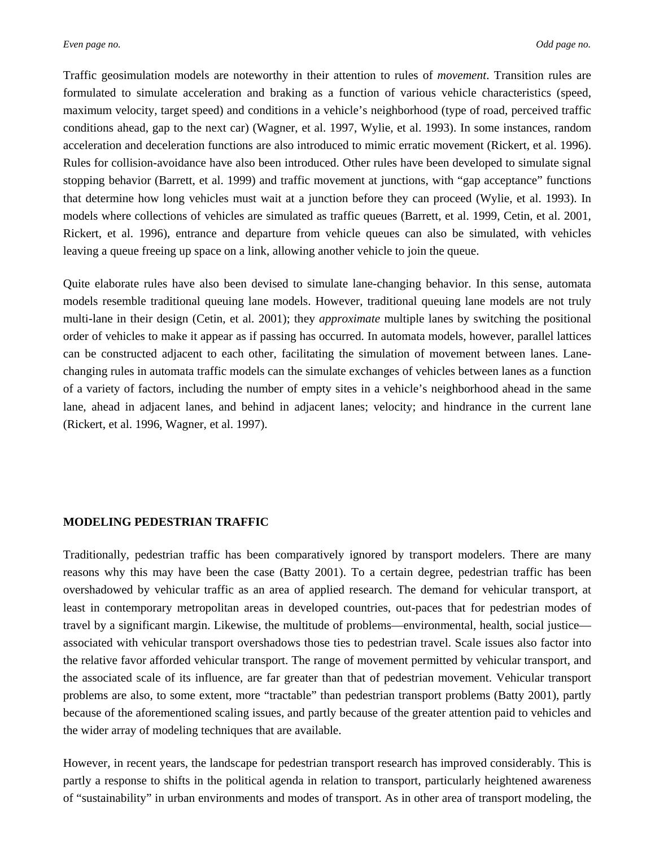Traffic geosimulation models are noteworthy in their attention to rules of *movement*. Transition rules are formulated to simulate acceleration and braking as a function of various vehicle characteristics (speed, maximum velocity, target speed) and conditions in a vehicle's neighborhood (type of road, perceived traffic conditions ahead, gap to the next car) (Wagner, et al. 1997, Wylie, et al. 1993). In some instances, random acceleration and deceleration functions are also introduced to mimic erratic movement (Rickert, et al. 1996). Rules for collision-avoidance have also been introduced. Other rules have been developed to simulate signal stopping behavior (Barrett, et al. 1999) and traffic movement at junctions, with "gap acceptance" functions that determine how long vehicles must wait at a junction before they can proceed (Wylie, et al. 1993). In models where collections of vehicles are simulated as traffic queues (Barrett, et al. 1999, Cetin, et al. 2001, Rickert, et al. 1996), entrance and departure from vehicle queues can also be simulated, with vehicles leaving a queue freeing up space on a link, allowing another vehicle to join the queue.

Quite elaborate rules have also been devised to simulate lane-changing behavior. In this sense, automata models resemble traditional queuing lane models. However, traditional queuing lane models are not truly multi-lane in their design (Cetin, et al. 2001); they *approximate* multiple lanes by switching the positional order of vehicles to make it appear as if passing has occurred. In automata models, however, parallel lattices can be constructed adjacent to each other, facilitating the simulation of movement between lanes. Lanechanging rules in automata traffic models can the simulate exchanges of vehicles between lanes as a function of a variety of factors, including the number of empty sites in a vehicle's neighborhood ahead in the same lane, ahead in adjacent lanes, and behind in adjacent lanes; velocity; and hindrance in the current lane (Rickert, et al. 1996, Wagner, et al. 1997).

#### **MODELING PEDESTRIAN TRAFFIC**

Traditionally, pedestrian traffic has been comparatively ignored by transport modelers. There are many reasons why this may have been the case (Batty 2001). To a certain degree, pedestrian traffic has been overshadowed by vehicular traffic as an area of applied research. The demand for vehicular transport, at least in contemporary metropolitan areas in developed countries, out-paces that for pedestrian modes of travel by a significant margin. Likewise, the multitude of problems—environmental, health, social justice associated with vehicular transport overshadows those ties to pedestrian travel. Scale issues also factor into the relative favor afforded vehicular transport. The range of movement permitted by vehicular transport, and the associated scale of its influence, are far greater than that of pedestrian movement. Vehicular transport problems are also, to some extent, more "tractable" than pedestrian transport problems (Batty 2001), partly because of the aforementioned scaling issues, and partly because of the greater attention paid to vehicles and the wider array of modeling techniques that are available.

However, in recent years, the landscape for pedestrian transport research has improved considerably. This is partly a response to shifts in the political agenda in relation to transport, particularly heightened awareness of "sustainability" in urban environments and modes of transport. As in other area of transport modeling, the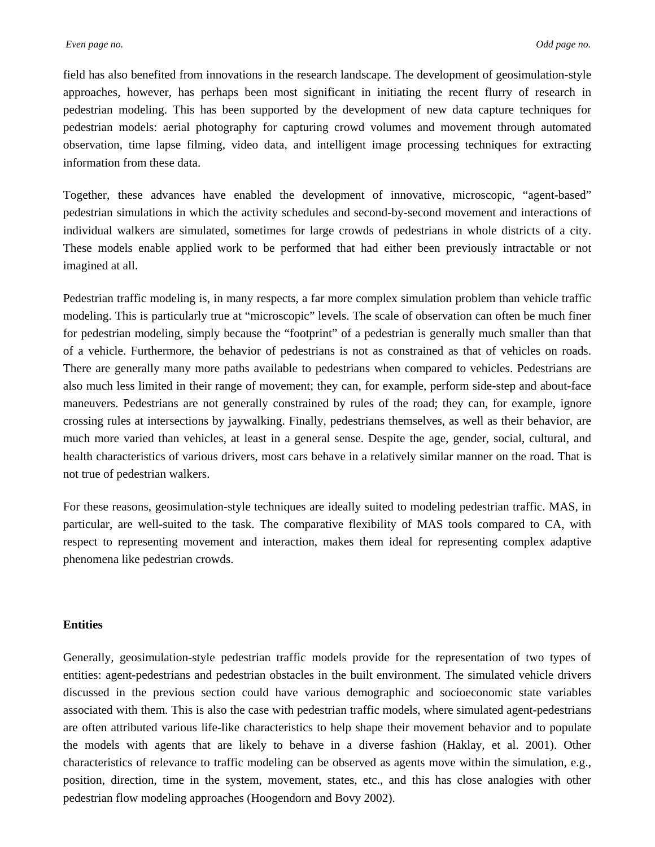field has also benefited from innovations in the research landscape. The development of geosimulation-style approaches, however, has perhaps been most significant in initiating the recent flurry of research in pedestrian modeling. This has been supported by the development of new data capture techniques for pedestrian models: aerial photography for capturing crowd volumes and movement through automated observation, time lapse filming, video data, and intelligent image processing techniques for extracting information from these data.

Together, these advances have enabled the development of innovative, microscopic, "agent-based" pedestrian simulations in which the activity schedules and second-by-second movement and interactions of individual walkers are simulated, sometimes for large crowds of pedestrians in whole districts of a city. These models enable applied work to be performed that had either been previously intractable or not imagined at all.

Pedestrian traffic modeling is, in many respects, a far more complex simulation problem than vehicle traffic modeling. This is particularly true at "microscopic" levels. The scale of observation can often be much finer for pedestrian modeling, simply because the "footprint" of a pedestrian is generally much smaller than that of a vehicle. Furthermore, the behavior of pedestrians is not as constrained as that of vehicles on roads. There are generally many more paths available to pedestrians when compared to vehicles. Pedestrians are also much less limited in their range of movement; they can, for example, perform side-step and about-face maneuvers. Pedestrians are not generally constrained by rules of the road; they can, for example, ignore crossing rules at intersections by jaywalking. Finally, pedestrians themselves, as well as their behavior, are much more varied than vehicles, at least in a general sense. Despite the age, gender, social, cultural, and health characteristics of various drivers, most cars behave in a relatively similar manner on the road. That is not true of pedestrian walkers.

For these reasons, geosimulation-style techniques are ideally suited to modeling pedestrian traffic. MAS, in particular, are well-suited to the task. The comparative flexibility of MAS tools compared to CA, with respect to representing movement and interaction, makes them ideal for representing complex adaptive phenomena like pedestrian crowds.

#### **Entities**

Generally, geosimulation-style pedestrian traffic models provide for the representation of two types of entities: agent-pedestrians and pedestrian obstacles in the built environment. The simulated vehicle drivers discussed in the previous section could have various demographic and socioeconomic state variables associated with them. This is also the case with pedestrian traffic models, where simulated agent-pedestrians are often attributed various life-like characteristics to help shape their movement behavior and to populate the models with agents that are likely to behave in a diverse fashion (Haklay, et al. 2001). Other characteristics of relevance to traffic modeling can be observed as agents move within the simulation, e.g., position, direction, time in the system, movement, states, etc., and this has close analogies with other pedestrian flow modeling approaches (Hoogendorn and Bovy 2002).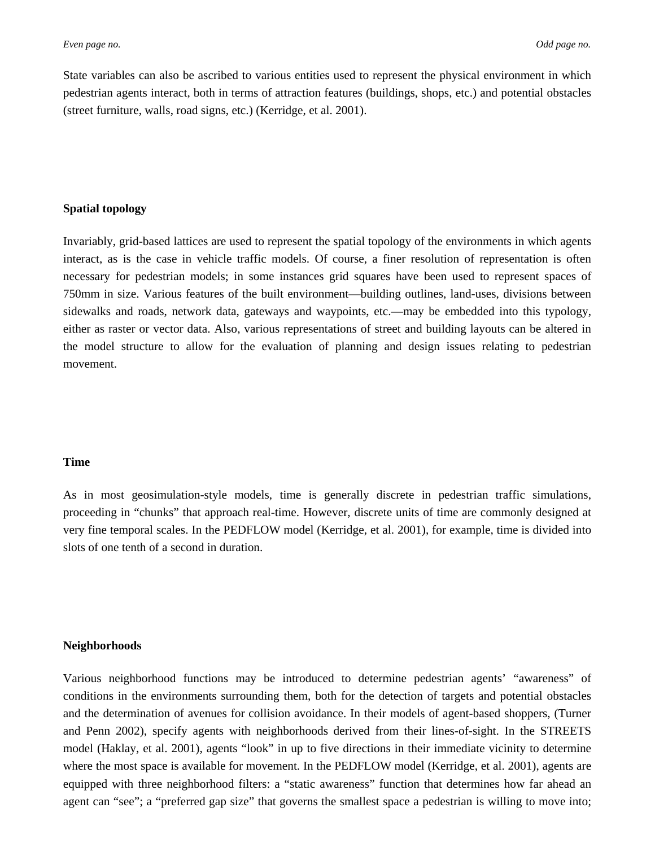State variables can also be ascribed to various entities used to represent the physical environment in which pedestrian agents interact, both in terms of attraction features (buildings, shops, etc.) and potential obstacles (street furniture, walls, road signs, etc.) (Kerridge, et al. 2001).

#### **Spatial topology**

Invariably, grid-based lattices are used to represent the spatial topology of the environments in which agents interact, as is the case in vehicle traffic models. Of course, a finer resolution of representation is often necessary for pedestrian models; in some instances grid squares have been used to represent spaces of 750mm in size. Various features of the built environment—building outlines, land-uses, divisions between sidewalks and roads, network data, gateways and waypoints, etc.—may be embedded into this typology, either as raster or vector data. Also, various representations of street and building layouts can be altered in the model structure to allow for the evaluation of planning and design issues relating to pedestrian movement.

### **Time**

As in most geosimulation-style models, time is generally discrete in pedestrian traffic simulations, proceeding in "chunks" that approach real-time. However, discrete units of time are commonly designed at very fine temporal scales. In the PEDFLOW model (Kerridge, et al. 2001), for example, time is divided into slots of one tenth of a second in duration.

#### **Neighborhoods**

Various neighborhood functions may be introduced to determine pedestrian agents' "awareness" of conditions in the environments surrounding them, both for the detection of targets and potential obstacles and the determination of avenues for collision avoidance. In their models of agent-based shoppers, (Turner and Penn 2002), specify agents with neighborhoods derived from their lines-of-sight. In the STREETS model (Haklay, et al. 2001), agents "look" in up to five directions in their immediate vicinity to determine where the most space is available for movement. In the PEDFLOW model (Kerridge, et al. 2001), agents are equipped with three neighborhood filters: a "static awareness" function that determines how far ahead an agent can "see"; a "preferred gap size" that governs the smallest space a pedestrian is willing to move into;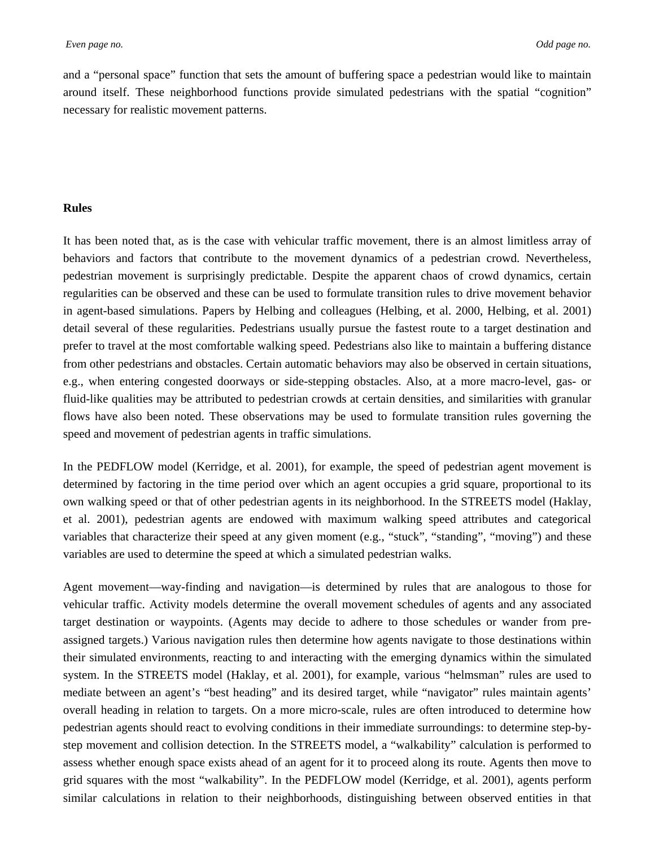and a "personal space" function that sets the amount of buffering space a pedestrian would like to maintain around itself. These neighborhood functions provide simulated pedestrians with the spatial "cognition" necessary for realistic movement patterns.

### **Rules**

It has been noted that, as is the case with vehicular traffic movement, there is an almost limitless array of behaviors and factors that contribute to the movement dynamics of a pedestrian crowd. Nevertheless, pedestrian movement is surprisingly predictable. Despite the apparent chaos of crowd dynamics, certain regularities can be observed and these can be used to formulate transition rules to drive movement behavior in agent-based simulations. Papers by Helbing and colleagues (Helbing, et al. 2000, Helbing, et al. 2001) detail several of these regularities. Pedestrians usually pursue the fastest route to a target destination and prefer to travel at the most comfortable walking speed. Pedestrians also like to maintain a buffering distance from other pedestrians and obstacles. Certain automatic behaviors may also be observed in certain situations, e.g., when entering congested doorways or side-stepping obstacles. Also, at a more macro-level, gas- or fluid-like qualities may be attributed to pedestrian crowds at certain densities, and similarities with granular flows have also been noted. These observations may be used to formulate transition rules governing the speed and movement of pedestrian agents in traffic simulations.

In the PEDFLOW model (Kerridge, et al. 2001), for example, the speed of pedestrian agent movement is determined by factoring in the time period over which an agent occupies a grid square, proportional to its own walking speed or that of other pedestrian agents in its neighborhood. In the STREETS model (Haklay, et al. 2001), pedestrian agents are endowed with maximum walking speed attributes and categorical variables that characterize their speed at any given moment (e.g., "stuck", "standing", "moving") and these variables are used to determine the speed at which a simulated pedestrian walks.

Agent movement—way-finding and navigation—is determined by rules that are analogous to those for vehicular traffic. Activity models determine the overall movement schedules of agents and any associated target destination or waypoints. (Agents may decide to adhere to those schedules or wander from preassigned targets.) Various navigation rules then determine how agents navigate to those destinations within their simulated environments, reacting to and interacting with the emerging dynamics within the simulated system. In the STREETS model (Haklay, et al. 2001), for example, various "helmsman" rules are used to mediate between an agent's "best heading" and its desired target, while "navigator" rules maintain agents' overall heading in relation to targets. On a more micro-scale, rules are often introduced to determine how pedestrian agents should react to evolving conditions in their immediate surroundings: to determine step-bystep movement and collision detection. In the STREETS model, a "walkability" calculation is performed to assess whether enough space exists ahead of an agent for it to proceed along its route. Agents then move to grid squares with the most "walkability". In the PEDFLOW model (Kerridge, et al. 2001), agents perform similar calculations in relation to their neighborhoods, distinguishing between observed entities in that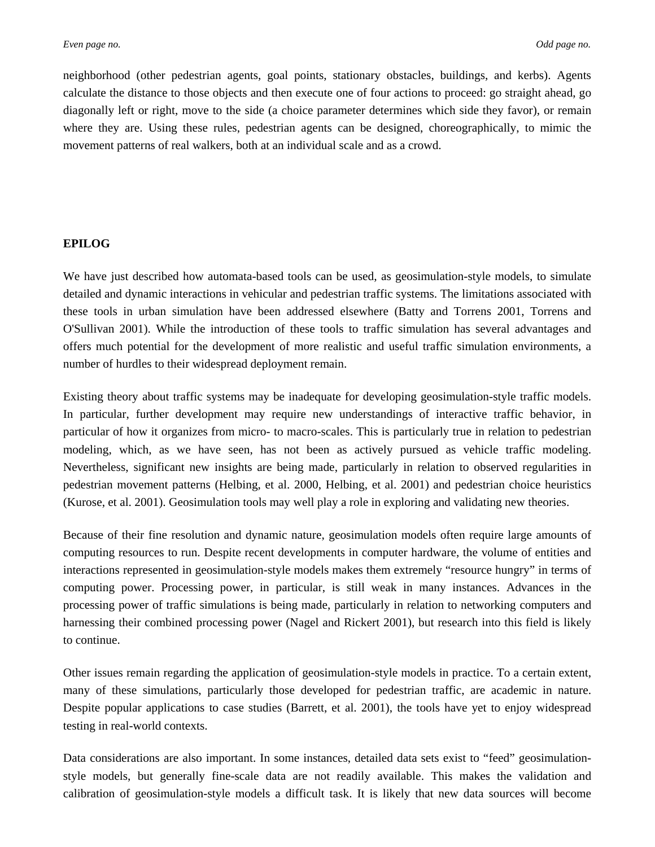neighborhood (other pedestrian agents, goal points, stationary obstacles, buildings, and kerbs). Agents calculate the distance to those objects and then execute one of four actions to proceed: go straight ahead, go diagonally left or right, move to the side (a choice parameter determines which side they favor), or remain where they are. Using these rules, pedestrian agents can be designed, choreographically, to mimic the movement patterns of real walkers, both at an individual scale and as a crowd.

### **EPILOG**

We have just described how automata-based tools can be used, as geosimulation-style models, to simulate detailed and dynamic interactions in vehicular and pedestrian traffic systems. The limitations associated with these tools in urban simulation have been addressed elsewhere (Batty and Torrens 2001, Torrens and O'Sullivan 2001). While the introduction of these tools to traffic simulation has several advantages and offers much potential for the development of more realistic and useful traffic simulation environments, a number of hurdles to their widespread deployment remain.

Existing theory about traffic systems may be inadequate for developing geosimulation-style traffic models. In particular, further development may require new understandings of interactive traffic behavior, in particular of how it organizes from micro- to macro-scales. This is particularly true in relation to pedestrian modeling, which, as we have seen, has not been as actively pursued as vehicle traffic modeling. Nevertheless, significant new insights are being made, particularly in relation to observed regularities in pedestrian movement patterns (Helbing, et al. 2000, Helbing, et al. 2001) and pedestrian choice heuristics (Kurose, et al. 2001). Geosimulation tools may well play a role in exploring and validating new theories.

Because of their fine resolution and dynamic nature, geosimulation models often require large amounts of computing resources to run. Despite recent developments in computer hardware, the volume of entities and interactions represented in geosimulation-style models makes them extremely "resource hungry" in terms of computing power. Processing power, in particular, is still weak in many instances. Advances in the processing power of traffic simulations is being made, particularly in relation to networking computers and harnessing their combined processing power (Nagel and Rickert 2001), but research into this field is likely to continue.

Other issues remain regarding the application of geosimulation-style models in practice. To a certain extent, many of these simulations, particularly those developed for pedestrian traffic, are academic in nature. Despite popular applications to case studies (Barrett, et al. 2001), the tools have yet to enjoy widespread testing in real-world contexts.

Data considerations are also important. In some instances, detailed data sets exist to "feed" geosimulationstyle models, but generally fine-scale data are not readily available. This makes the validation and calibration of geosimulation-style models a difficult task. It is likely that new data sources will become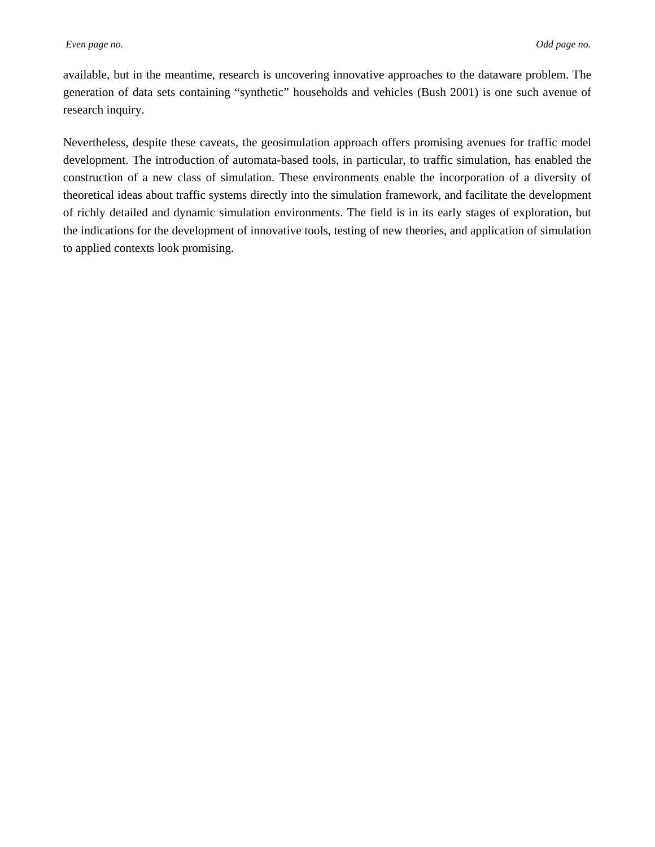available, but in the meantime, research is uncovering innovative approaches to the dataware problem. The generation of data sets containing "synthetic" households and vehicles (Bush 2001) is one such avenue of research inquiry.

Nevertheless, despite these caveats, the geosimulation approach offers promising avenues for traffic model development. The introduction of automata-based tools, in particular, to traffic simulation, has enabled the construction of a new class of simulation. These environments enable the incorporation of a diversity of theoretical ideas about traffic systems directly into the simulation framework, and facilitate the development of richly detailed and dynamic simulation environments. The field is in its early stages of exploration, but the indications for the development of innovative tools, testing of new theories, and application of simulation to applied contexts look promising.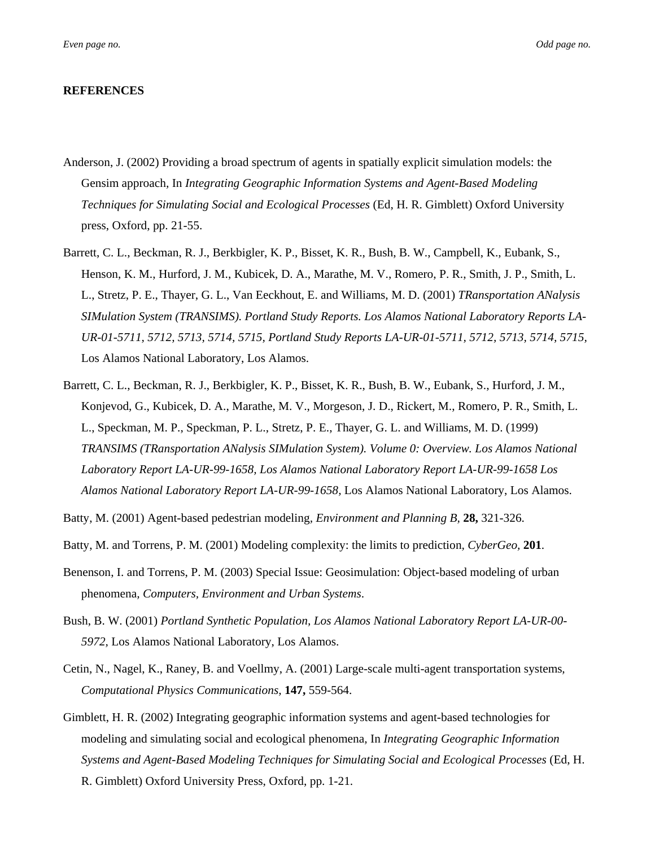#### **REFERENCES**

- Anderson, J. (2002) Providing a broad spectrum of agents in spatially explicit simulation models: the Gensim approach*,* In *Integrating Geographic Information Systems and Agent-Based Modeling Techniques for Simulating Social and Ecological Processes* (Ed, H. R. Gimblett) Oxford University press, Oxford, pp. 21-55.
- Barrett, C. L., Beckman, R. J., Berkbigler, K. P., Bisset, K. R., Bush, B. W., Campbell, K., Eubank, S., Henson, K. M., Hurford, J. M., Kubicek, D. A., Marathe, M. V., Romero, P. R., Smith, J. P., Smith, L. L., Stretz, P. E., Thayer, G. L., Van Eeckhout, E. and Williams, M. D. (2001) *TRansportation ANalysis SIMulation System (TRANSIMS). Portland Study Reports. Los Alamos National Laboratory Reports LA-UR-01-5711, 5712, 5713, 5714, 5715, Portland Study Reports LA-UR-01-5711, 5712, 5713, 5714, 5715,*  Los Alamos National Laboratory, Los Alamos.
- Barrett, C. L., Beckman, R. J., Berkbigler, K. P., Bisset, K. R., Bush, B. W., Eubank, S., Hurford, J. M., Konjevod, G., Kubicek, D. A., Marathe, M. V., Morgeson, J. D., Rickert, M., Romero, P. R., Smith, L. L., Speckman, M. P., Speckman, P. L., Stretz, P. E., Thayer, G. L. and Williams, M. D. (1999) *TRANSIMS (TRansportation ANalysis SIMulation System). Volume 0: Overview. Los Alamos National Laboratory Report LA-UR-99-1658, Los Alamos National Laboratory Report LA-UR-99-1658 Los Alamos National Laboratory Report LA-UR-99-1658,* Los Alamos National Laboratory, Los Alamos.

Batty, M. (2001) Agent-based pedestrian modeling*, Environment and Planning B,* **28,** 321-326.

- Batty, M. and Torrens, P. M. (2001) Modeling complexity: the limits to prediction*, CyberGeo,* **201**.
- Benenson, I. and Torrens, P. M. (2003) Special Issue: Geosimulation: Object-based modeling of urban phenomena*, Computers, Environment and Urban Systems*.
- Bush, B. W. (2001) *Portland Synthetic Population, Los Alamos National Laboratory Report LA-UR-00- 5972,* Los Alamos National Laboratory, Los Alamos.
- Cetin, N., Nagel, K., Raney, B. and Voellmy, A. (2001) Large-scale multi-agent transportation systems*, Computational Physics Communications,* **147,** 559-564.
- Gimblett, H. R. (2002) Integrating geographic information systems and agent-based technologies for modeling and simulating social and ecological phenomena*,* In *Integrating Geographic Information Systems and Agent-Based Modeling Techniques for Simulating Social and Ecological Processes* (Ed, H. R. Gimblett) Oxford University Press, Oxford, pp. 1-21.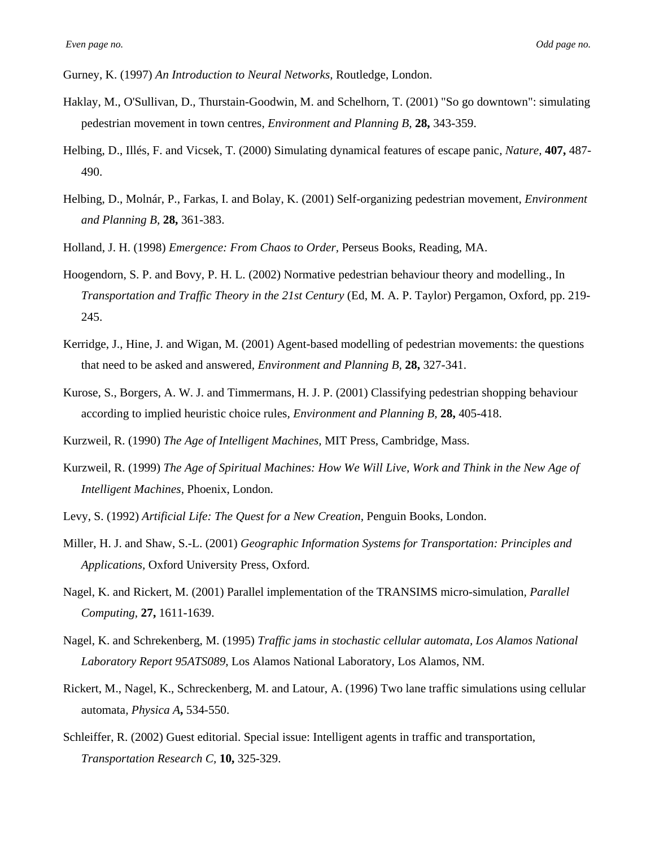Gurney, K. (1997) *An Introduction to Neural Networks,* Routledge, London.

- Haklay, M., O'Sullivan, D., Thurstain-Goodwin, M. and Schelhorn, T. (2001) "So go downtown": simulating pedestrian movement in town centres*, Environment and Planning B,* **28,** 343-359.
- Helbing, D., Illés, F. and Vicsek, T. (2000) Simulating dynamical features of escape panic*, Nature,* **407,** 487- 490.
- Helbing, D., Molnár, P., Farkas, I. and Bolay, K. (2001) Self-organizing pedestrian movement*, Environment and Planning B,* **28,** 361-383.
- Holland, J. H. (1998) *Emergence: From Chaos to Order,* Perseus Books, Reading, MA.
- Hoogendorn, S. P. and Bovy, P. H. L. (2002) Normative pedestrian behaviour theory and modelling.*,* In *Transportation and Traffic Theory in the 21st Century* (Ed, M. A. P. Taylor) Pergamon, Oxford, pp. 219- 245.
- Kerridge, J., Hine, J. and Wigan, M. (2001) Agent-based modelling of pedestrian movements: the questions that need to be asked and answered*, Environment and Planning B,* **28,** 327-341.
- Kurose, S., Borgers, A. W. J. and Timmermans, H. J. P. (2001) Classifying pedestrian shopping behaviour according to implied heuristic choice rules*, Environment and Planning B,* **28,** 405-418.
- Kurzweil, R. (1990) *The Age of Intelligent Machines,* MIT Press, Cambridge, Mass.
- Kurzweil, R. (1999) *The Age of Spiritual Machines: How We Will Live, Work and Think in the New Age of Intelligent Machines,* Phoenix, London.
- Levy, S. (1992) *Artificial Life: The Quest for a New Creation,* Penguin Books, London.
- Miller, H. J. and Shaw, S.-L. (2001) *Geographic Information Systems for Transportation: Principles and Applications,* Oxford University Press, Oxford.
- Nagel, K. and Rickert, M. (2001) Parallel implementation of the TRANSIMS micro-simulation*, Parallel Computing,* **27,** 1611-1639.
- Nagel, K. and Schrekenberg, M. (1995) *Traffic jams in stochastic cellular automata, Los Alamos National Laboratory Report 95ATS089,* Los Alamos National Laboratory, Los Alamos, NM.
- Rickert, M., Nagel, K., Schreckenberg, M. and Latour, A. (1996) Two lane traffic simulations using cellular automata*, Physica A***,** 534-550.
- Schleiffer, R. (2002) Guest editorial. Special issue: Intelligent agents in traffic and transportation*, Transportation Research C,* **10,** 325-329.